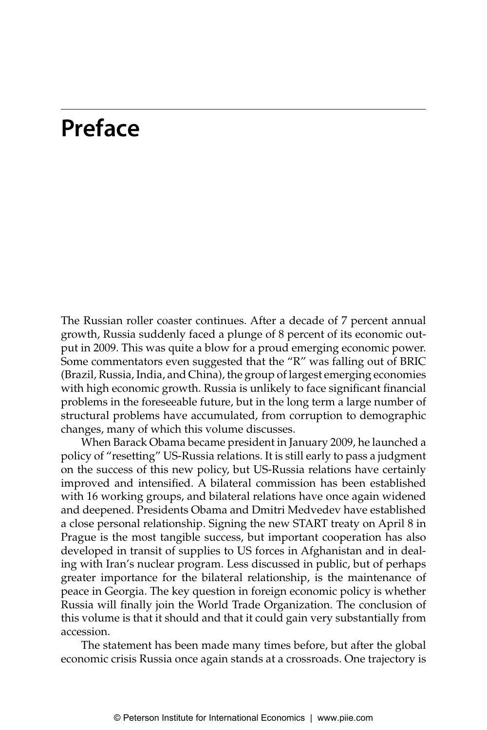## **Preface**

The Russian roller coaster continues. After a decade of 7 percent annual growth, Russia suddenly faced a plunge of 8 percent of its economic output in 2009. This was quite a blow for a proud emerging economic power. Some commentators even suggested that the "R" was falling out of BRIC (Brazil, Russia, India, and China), the group of largest emerging economies with high economic growth. Russia is unlikely to face significant financial problems in the foreseeable future, but in the long term a large number of structural problems have accumulated, from corruption to demographic changes, many of which this volume discusses.

When Barack Obama became president in January 2009, he launched a policy of "resetting" US-Russia relations. It is still early to pass a judgment on the success of this new policy, but US-Russia relations have certainly improved and intensified. A bilateral commission has been established with 16 working groups, and bilateral relations have once again widened and deepened. Presidents Obama and Dmitri Medvedev have established a close personal relationship. Signing the new START treaty on April 8 in Prague is the most tangible success, but important cooperation has also developed in transit of supplies to US forces in Afghanistan and in dealing with Iran's nuclear program. Less discussed in public, but of perhaps greater importance for the bilateral relationship, is the maintenance of peace in Georgia. The key question in foreign economic policy is whether Russia will finally join the World Trade Organization. The conclusion of this volume is that it should and that it could gain very substantially from accession.

The statement has been made many times before, but after the global economic crisis Russia once again stands at a crossroads. One trajectory is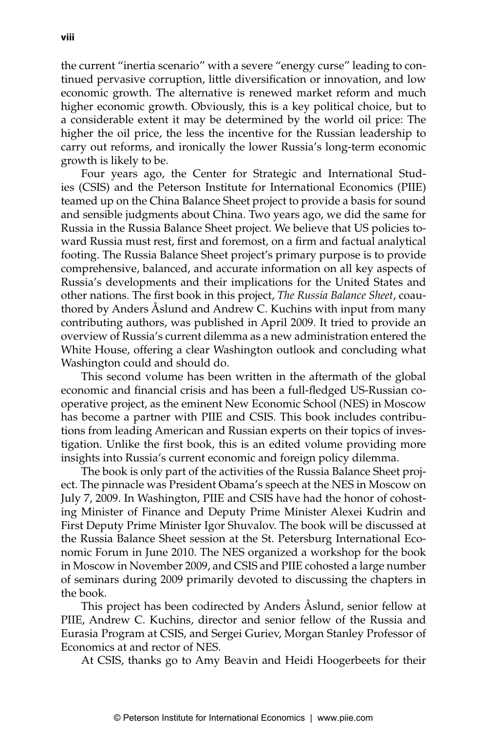the current "inertia scenario" with a severe "energy curse" leading to continued pervasive corruption, little diversification or innovation, and low economic growth. The alternative is renewed market reform and much higher economic growth. Obviously, this is a key political choice, but to a considerable extent it may be determined by the world oil price: The higher the oil price, the less the incentive for the Russian leadership to carry out reforms, and ironically the lower Russia's long-term economic growth is likely to be.

Four years ago, the Center for Strategic and International Studies (CSIS) and the Peterson Institute for International Economics (PIIE) teamed up on the China Balance Sheet project to provide a basis for sound and sensible judgments about China. Two years ago, we did the same for Russia in the Russia Balance Sheet project. We believe that US policies toward Russia must rest, first and foremost, on a firm and factual analytical footing. The Russia Balance Sheet project's primary purpose is to provide comprehensive, balanced, and accurate information on all key aspects of Russia's developments and their implications for the United States and other nations. The first book in this project, *The Russia Balance Sheet*, coauthored by Anders Åslund and Andrew C. Kuchins with input from many contributing authors, was published in April 2009. It tried to provide an overview of Russia's current dilemma as a new administration entered the White House, offering a clear Washington outlook and concluding what Washington could and should do.

This second volume has been written in the aftermath of the global economic and financial crisis and has been a full-fledged US-Russian cooperative project, as the eminent New Economic School (NES) in Moscow has become a partner with PIIE and CSIS. This book includes contributions from leading American and Russian experts on their topics of investigation. Unlike the first book, this is an edited volume providing more insights into Russia's current economic and foreign policy dilemma.

The book is only part of the activities of the Russia Balance Sheet project. The pinnacle was President Obama's speech at the NES in Moscow on July 7, 2009. In Washington, PIIE and CSIS have had the honor of cohosting Minister of Finance and Deputy Prime Minister Alexei Kudrin and First Deputy Prime Minister Igor Shuvalov. The book will be discussed at the Russia Balance Sheet session at the St. Petersburg International Economic Forum in June 2010. The NES organized a workshop for the book in Moscow in November 2009, and CSIS and PIIE cohosted a large number of seminars during 2009 primarily devoted to discussing the chapters in the book.

This project has been codirected by Anders Åslund, senior fellow at PIIE, Andrew C. Kuchins, director and senior fellow of the Russia and Eurasia Program at CSIS, and Sergei Guriev, Morgan Stanley Professor of Economics at and rector of NES.

At CSIS, thanks go to Amy Beavin and Heidi Hoogerbeets for their